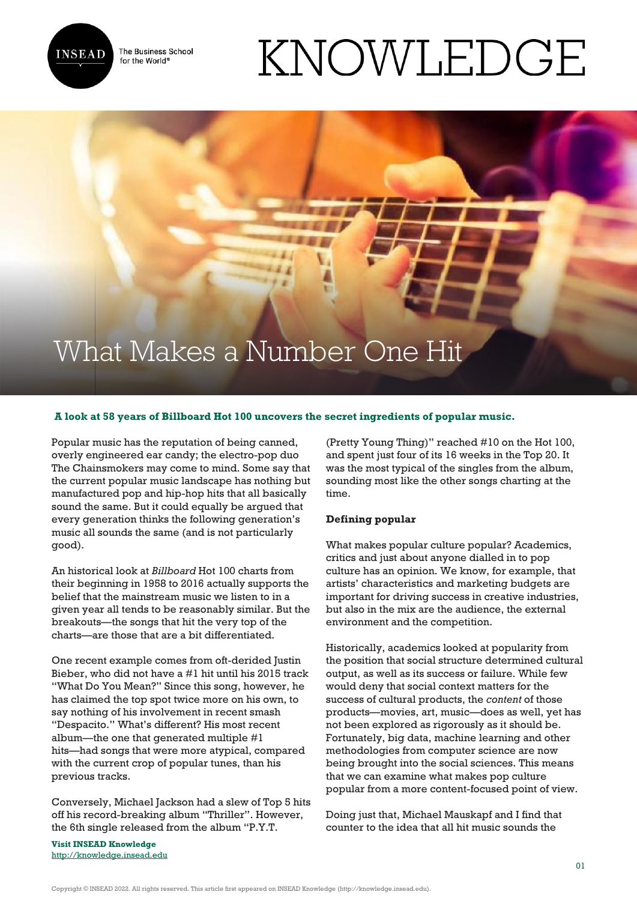

The Business School for the World<sup>®</sup>

# KNOWLEDGE

# What Makes a Number One Hit

## **A look at 58 years of Billboard Hot 100 uncovers the secret ingredients of popular music.**

Popular music has the reputation of being canned, overly engineered ear candy; the electro-pop duo The Chainsmokers may come to mind. Some say that the current popular music landscape has nothing but manufactured pop and hip-hop hits that all basically sound the same. But it could equally be argued that every generation thinks the following generation's music all sounds the same (and is not particularly good).

An historical look at *Billboard* Hot 100 charts from their beginning in 1958 to 2016 actually supports the belief that the mainstream music we listen to in a given year all tends to be reasonably similar. But the breakouts—the songs that hit the very top of the charts—are those that are a bit differentiated.

One recent example comes from oft-derided Justin Bieber, who did not have a #1 hit until his 2015 track "What Do You Mean?" Since this song, however, he has claimed the top spot twice more on his own, to say nothing of his involvement in recent smash "Despacito." What's different? His most recent album—the one that generated multiple #1 hits—had songs that were more atypical, compared with the current crop of popular tunes, than his previous tracks.

Conversely, Michael Jackson had a slew of Top 5 hits off his record-breaking album "Thriller". However, the 6th single released from the album "P.Y.T.

**Visit INSEAD Knowledge** <http://knowledge.insead.edu>

(Pretty Young Thing)" reached #10 on the Hot 100, and spent just four of its 16 weeks in the Top 20. It was the most typical of the singles from the album, sounding most like the other songs charting at the time.

### **Defining popular**

What makes popular culture popular? Academics, critics and just about anyone dialled in to pop culture has an opinion. We know, for example, that artists' characteristics and marketing budgets are important for driving success in creative industries, but also in the mix are the audience, the external environment and the competition.

Historically, academics looked at popularity from the position that social structure determined cultural output, as well as its success or failure. While few would deny that social context matters for the success of cultural products, the *content* of those products—movies, art, music—does as well, yet has not been explored as rigorously as it should be. Fortunately, big data, machine learning and other methodologies from computer science are now being brought into the social sciences. This means that we can examine what makes pop culture popular from a more content-focused point of view.

Doing just that, Michael Mauskapf and I find that counter to the idea that all hit music sounds the

Copyright © INSEAD 2022. All rights reserved. This article first appeared on INSEAD Knowledge (http://knowledge.insead.edu).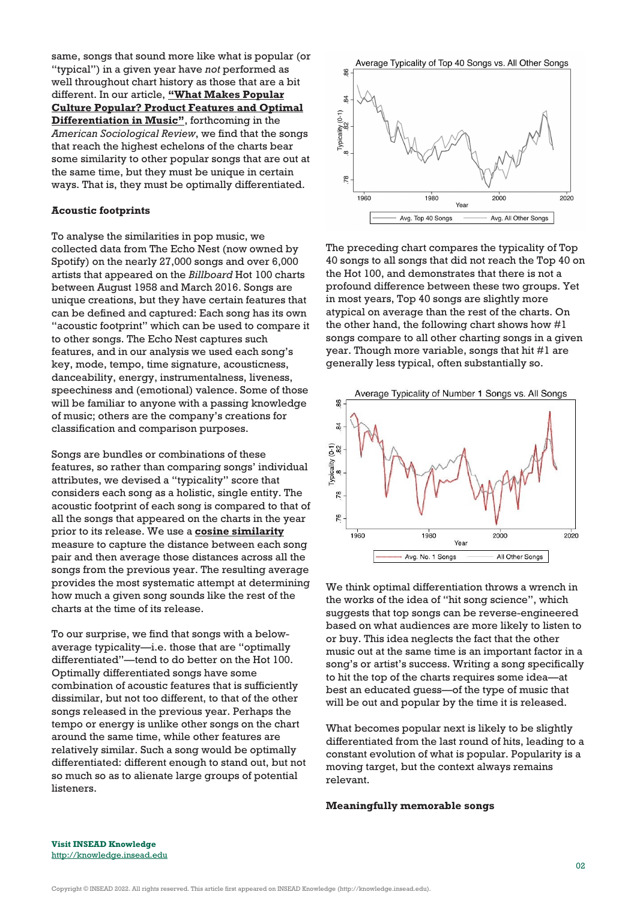same, songs that sound more like what is popular (or "typical") in a given year have *not* performed as well throughout chart history as those that are a bit different. In our article, **["What Makes Popular](http://journals.sagepub.com.ezproxy.insead.edu/doi/full/10.1177/0003122417728662) [Culture Popular? Product Features and Optimal](http://journals.sagepub.com.ezproxy.insead.edu/doi/full/10.1177/0003122417728662) [Differentiation in Music"](http://journals.sagepub.com.ezproxy.insead.edu/doi/full/10.1177/0003122417728662)**, forthcoming in the *American Sociological Review*, we find that the songs that reach the highest echelons of the charts bear some similarity to other popular songs that are out at the same time, but they must be unique in certain ways. That is, they must be optimally differentiated.

#### **Acoustic footprints**

To analyse the similarities in pop music, we collected data from The Echo Nest (now owned by Spotify) on the nearly 27,000 songs and over 6,000 artists that appeared on the *Billboard* Hot 100 charts between August 1958 and March 2016. Songs are unique creations, but they have certain features that can be defined and captured: Each song has its own "acoustic footprint" which can be used to compare it to other songs. The Echo Nest captures such features, and in our analysis we used each song's key, mode, tempo, time signature, acousticness, danceability, energy, instrumentalness, liveness, speechiness and (emotional) valence. Some of those will be familiar to anyone with a passing knowledge of music; others are the company's creations for classification and comparison purposes.

Songs are bundles or combinations of these features, so rather than comparing songs' individual attributes, we devised a "typicality" score that considers each song as a holistic, single entity. The acoustic footprint of each song is compared to that of all the songs that appeared on the charts in the year prior to its release. We use a **[cosine similarity](https://en.wikipedia.org/wiki/Cosine_similarity)** measure to capture the distance between each song pair and then average those distances across all the songs from the previous year. The resulting average provides the most systematic attempt at determining how much a given song sounds like the rest of the charts at the time of its release.

To our surprise, we find that songs with a belowaverage typicality—i.e. those that are "optimally differentiated"—tend to do better on the Hot 100. Optimally differentiated songs have some combination of acoustic features that is sufficiently dissimilar, but not too different, to that of the other songs released in the previous year. Perhaps the tempo or energy is unlike other songs on the chart around the same time, while other features are relatively similar. Such a song would be optimally differentiated: different enough to stand out, but not so much so as to alienate large groups of potential listeners.



The preceding chart compares the typicality of Top 40 songs to all songs that did not reach the Top 40 on the Hot 100, and demonstrates that there is not a profound difference between these two groups. Yet in most years, Top 40 songs are slightly more atypical on average than the rest of the charts. On the other hand, the following chart shows how  $#1$ songs compare to all other charting songs in a given year. Though more variable, songs that hit #1 are generally less typical, often substantially so.



We think optimal differentiation throws a wrench in the works of the idea of "hit song science", which suggests that top songs can be reverse-engineered based on what audiences are more likely to listen to or buy. This idea neglects the fact that the other music out at the same time is an important factor in a song's or artist's success. Writing a song specifically to hit the top of the charts requires some idea—at best an educated guess—of the type of music that will be out and popular by the time it is released.

What becomes popular next is likely to be slightly differentiated from the last round of hits, leading to a constant evolution of what is popular. Popularity is a moving target, but the context always remains relevant.

#### **Meaningfully memorable songs**

**Visit INSEAD Knowledge** <http://knowledge.insead.edu>

Copyright © INSEAD 2022. All rights reserved. This article first appeared on INSEAD Knowledge (http://knowledge.insead.edu).